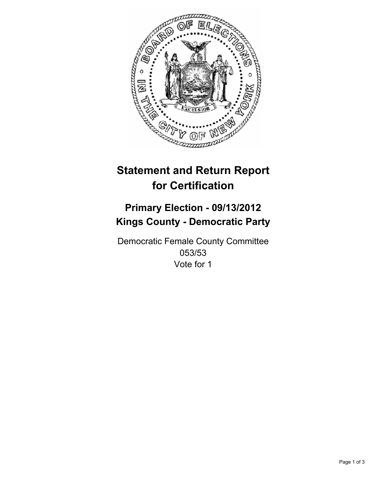

# **Statement and Return Report for Certification**

## **Primary Election - 09/13/2012 Kings County - Democratic Party**

Democratic Female County Committee 053/53 Vote for 1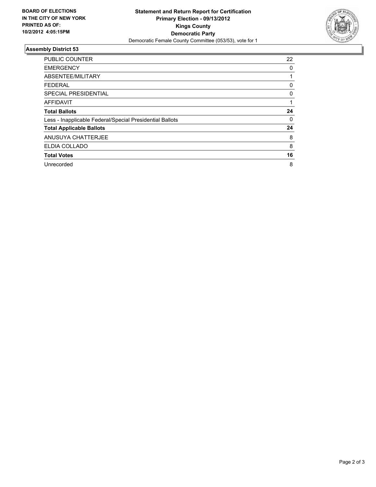

### **Assembly District 53**

| PUBLIC COUNTER                                           | 22 |
|----------------------------------------------------------|----|
| <b>EMERGENCY</b>                                         | 0  |
| ABSENTEE/MILITARY                                        |    |
| <b>FEDERAL</b>                                           | 0  |
| SPECIAL PRESIDENTIAL                                     | 0  |
| <b>AFFIDAVIT</b>                                         |    |
| <b>Total Ballots</b>                                     | 24 |
| Less - Inapplicable Federal/Special Presidential Ballots | 0  |
| <b>Total Applicable Ballots</b>                          | 24 |
| ANUSUYA CHATTERJEE                                       | 8  |
| ELDIA COLLADO                                            | 8  |
| <b>Total Votes</b>                                       | 16 |
| Unrecorded                                               | 8  |